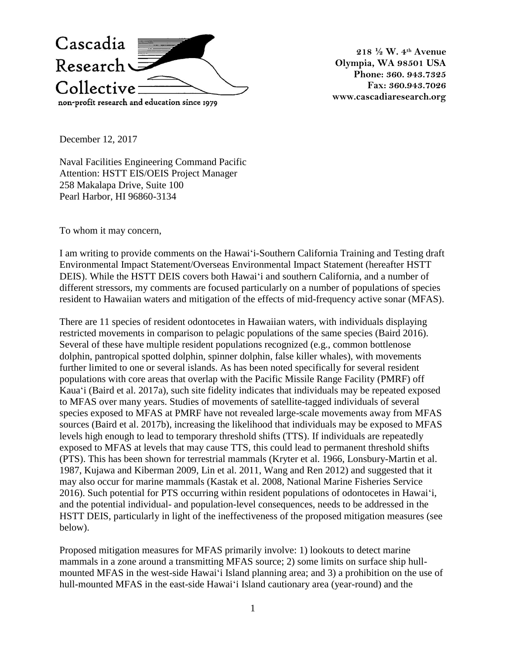

**218 ½ W. 4th Avenue Olympia, WA 98501 USA Phone: 360. 943.7325 Fax: 360.943.7026 www.cascadiaresearch.org**

December 12, 2017

Naval Facilities Engineering Command Pacific Attention: HSTT EIS/OEIS Project Manager 258 Makalapa Drive, Suite 100 Pearl Harbor, HI 96860-3134

To whom it may concern,

I am writing to provide comments on the Hawai'i-Southern California Training and Testing draft Environmental Impact Statement/Overseas Environmental Impact Statement (hereafter HSTT DEIS). While the HSTT DEIS covers both Hawai'i and southern California, and a number of different stressors, my comments are focused particularly on a number of populations of species resident to Hawaiian waters and mitigation of the effects of mid-frequency active sonar (MFAS).

There are 11 species of resident odontocetes in Hawaiian waters, with individuals displaying restricted movements in comparison to pelagic populations of the same species (Baird 2016). Several of these have multiple resident populations recognized (e.g., common bottlenose dolphin, pantropical spotted dolphin, spinner dolphin, false killer whales), with movements further limited to one or several islands. As has been noted specifically for several resident populations with core areas that overlap with the Pacific Missile Range Facility (PMRF) off Kaua'i (Baird et al. 2017a), such site fidelity indicates that individuals may be repeated exposed to MFAS over many years. Studies of movements of satellite-tagged individuals of several species exposed to MFAS at PMRF have not revealed large-scale movements away from MFAS sources (Baird et al. 2017b), increasing the likelihood that individuals may be exposed to MFAS levels high enough to lead to temporary threshold shifts (TTS). If individuals are repeatedly exposed to MFAS at levels that may cause TTS, this could lead to permanent threshold shifts (PTS). This has been shown for terrestrial mammals (Kryter et al. 1966, Lonsbury-Martin et al. 1987, Kujawa and Kiberman 2009, Lin et al. 2011, Wang and Ren 2012) and suggested that it may also occur for marine mammals (Kastak et al. 2008, National Marine Fisheries Service 2016). Such potential for PTS occurring within resident populations of odontocetes in Hawai'i, and the potential individual- and population-level consequences, needs to be addressed in the HSTT DEIS, particularly in light of the ineffectiveness of the proposed mitigation measures (see below).

Proposed mitigation measures for MFAS primarily involve: 1) lookouts to detect marine mammals in a zone around a transmitting MFAS source; 2) some limits on surface ship hullmounted MFAS in the west-side Hawai'i Island planning area; and 3) a prohibition on the use of hull-mounted MFAS in the east-side Hawai'i Island cautionary area (year-round) and the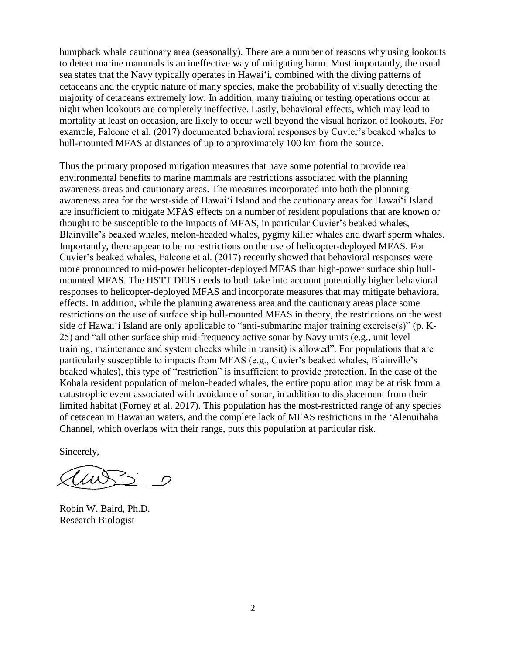humpback whale cautionary area (seasonally). There are a number of reasons why using lookouts to detect marine mammals is an ineffective way of mitigating harm. Most importantly, the usual sea states that the Navy typically operates in Hawai'i, combined with the diving patterns of cetaceans and the cryptic nature of many species, make the probability of visually detecting the majority of cetaceans extremely low. In addition, many training or testing operations occur at night when lookouts are completely ineffective. Lastly, behavioral effects, which may lead to mortality at least on occasion, are likely to occur well beyond the visual horizon of lookouts. For example, Falcone et al. (2017) documented behavioral responses by Cuvier's beaked whales to hull-mounted MFAS at distances of up to approximately 100 km from the source.

Thus the primary proposed mitigation measures that have some potential to provide real environmental benefits to marine mammals are restrictions associated with the planning awareness areas and cautionary areas. The measures incorporated into both the planning awareness area for the west-side of Hawai'i Island and the cautionary areas for Hawai'i Island are insufficient to mitigate MFAS effects on a number of resident populations that are known or thought to be susceptible to the impacts of MFAS, in particular Cuvier's beaked whales, Blainville's beaked whales, melon-headed whales, pygmy killer whales and dwarf sperm whales. Importantly, there appear to be no restrictions on the use of helicopter-deployed MFAS. For Cuvier's beaked whales, Falcone et al. (2017) recently showed that behavioral responses were more pronounced to mid-power helicopter-deployed MFAS than high-power surface ship hullmounted MFAS. The HSTT DEIS needs to both take into account potentially higher behavioral responses to helicopter-deployed MFAS and incorporate measures that may mitigate behavioral effects. In addition, while the planning awareness area and the cautionary areas place some restrictions on the use of surface ship hull-mounted MFAS in theory, the restrictions on the west side of Hawai'i Island are only applicable to "anti-submarine major training exercise(s)" (p. K-25) and "all other surface ship mid-frequency active sonar by Navy units (e.g., unit level training, maintenance and system checks while in transit) is allowed". For populations that are particularly susceptible to impacts from MFAS (e.g., Cuvier's beaked whales, Blainville's beaked whales), this type of "restriction" is insufficient to provide protection. In the case of the Kohala resident population of melon-headed whales, the entire population may be at risk from a catastrophic event associated with avoidance of sonar, in addition to displacement from their limited habitat (Forney et al. 2017). This population has the most-restricted range of any species of cetacean in Hawaiian waters, and the complete lack of MFAS restrictions in the 'Alenuihaha Channel, which overlaps with their range, puts this population at particular risk.

Sincerely,

 $1/11$  $\cap$ 

Robin W. Baird, Ph.D. Research Biologist